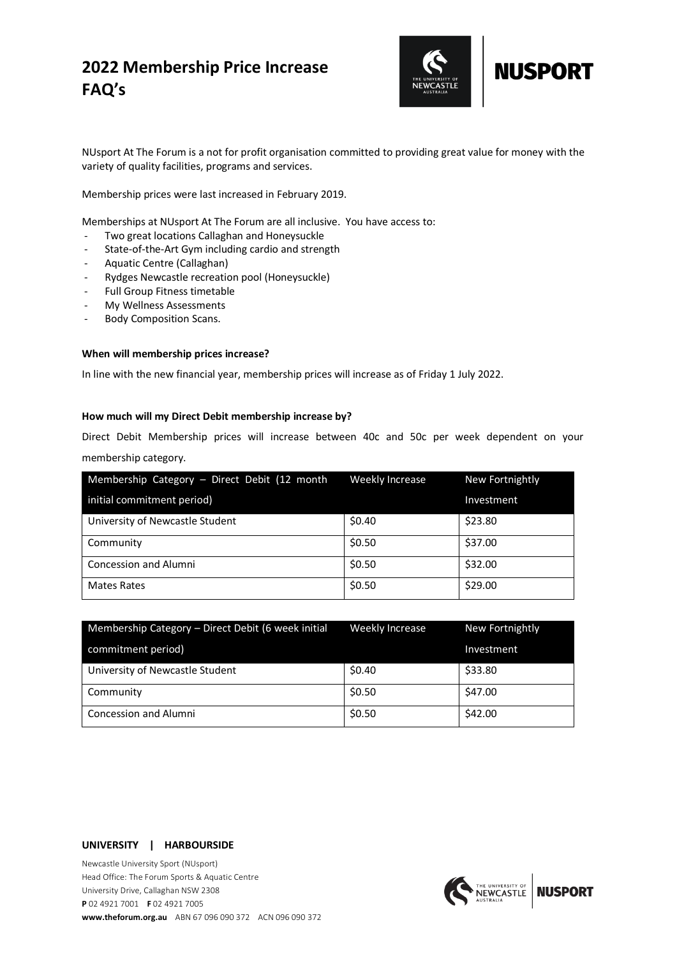# **2022 Membership Price Increase FAQ's**



# **NUSPORT**

NUsport At The Forum is a not for profit organisation committed to providing great value for money with the variety of quality facilities, programs and services.

Membership prices were last increased in February 2019.

Memberships at NUsport At The Forum are all inclusive. You have access to:

- Two great locations Callaghan and Honeysuckle
- State-of-the-Art Gym including cardio and strength
- Aquatic Centre (Callaghan)
- Rydges Newcastle recreation pool (Honeysuckle)
- Full Group Fitness timetable
- My Wellness Assessments
- Body Composition Scans.

## **When will membership prices increase?**

In line with the new financial year, membership prices will increase as of Friday 1 July 2022.

# **How much will my Direct Debit membership increase by?**

Direct Debit Membership prices will increase between 40c and 50c per week dependent on your membership category.

| Membership Category - Direct Debit (12 month | Weekly Increase | New Fortnightly |
|----------------------------------------------|-----------------|-----------------|
| initial commitment period)                   |                 | Investment      |
| University of Newcastle Student              | \$0.40          | \$23.80         |
| Community                                    | \$0.50          | \$37.00         |
| <b>Concession and Alumni</b>                 | \$0.50          | \$32.00         |
| <b>Mates Rates</b>                           | \$0.50          | \$29.00         |

| Membership Category - Direct Debit (6 week initial | Weekly Increase | New Fortnightly |
|----------------------------------------------------|-----------------|-----------------|
| commitment period)                                 |                 | Investment      |
| University of Newcastle Student                    | \$0.40          | \$33.80         |
| Community                                          | \$0.50          | \$47.00         |
| <b>Concession and Alumni</b>                       | \$0.50          | \$42.00         |

#### **UNIVERSITY | HARBOURSIDE**

Newcastle University Sport (NUsport) Head Office: The Forum Sports & Aquatic Centre University Drive, Callaghan NSW 2308 **P** 02 4921 7001 **F** 02 4921 7005 **www.theforum.org.au** ABN 67 096 090 372 ACN 096 090 372